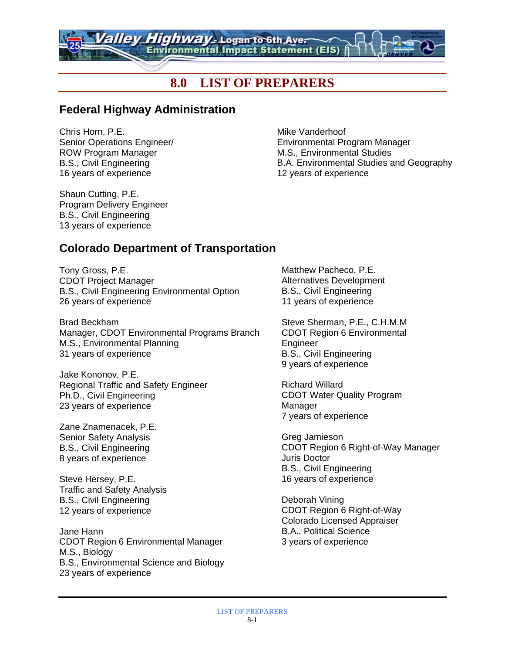# **8.0 LIST OF PREPARERS**

ghway - Logan to 6th Aver Environmental Impact Statement (EIS)

#### **Federal Highway Administration**

Chris Horn, P.E. Senior Operations Engineer/ ROW Program Manager B.S., Civil Engineering 16 years of experience

Mike Vanderhoof Environmental Program Manager M.S., Environmental Studies B.A. Environmental Studies and Geography 12 years of experience

Shaun Cutting, P.E. Program Delivery Engineer B.S., Civil Engineering 13 years of experience

#### **Colorado Department of Transportation**

Tony Gross, P.E. CDOT Project Manager B.S., Civil Engineering Environmental Option 26 years of experience

Brad Beckham Manager, CDOT Environmental Programs Branch M.S., Environmental Planning 31 years of experience

Jake Kononov, P.E. Regional Traffic and Safety Engineer Ph.D., Civil Engineering 23 years of experience

Zane Znamenacek, P.E. Senior Safety Analysis B.S., Civil Engineering 8 years of experience

Steve Hersey, P.E. Traffic and Safety Analysis B.S., Civil Engineering 12 years of experience

Jane Hann CDOT Region 6 Environmental Manager M.S., Biology B.S., Environmental Science and Biology 23 years of experience

Matthew Pacheco, P.E. Alternatives Development B.S., Civil Engineering 11 years of experience

Steve Sherman, P.E., C.H.M.M CDOT Region 6 Environmental Engineer B.S., Civil Engineering 9 years of experience

Richard Willard CDOT Water Quality Program Manager 7 years of experience

Greg Jamieson CDOT Region 6 Right-of-Way Manager Juris Doctor B.S., Civil Engineering 16 years of experience

Deborah Vining CDOT Region 6 Right-of-Way Colorado Licensed Appraiser B.A., Political Science 3 years of experience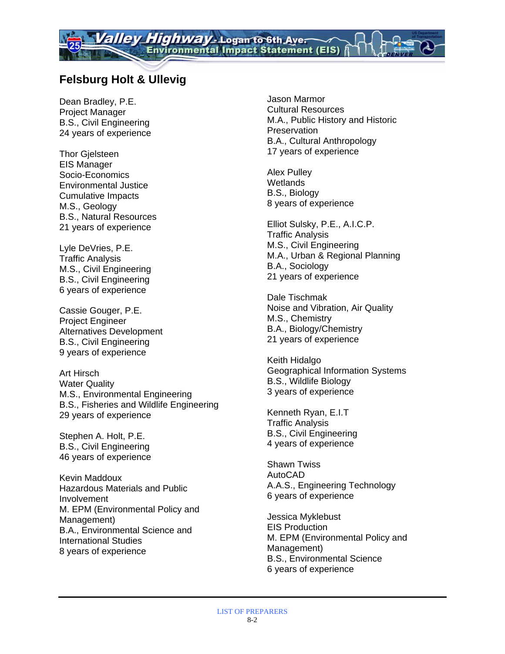# **Felsburg Holt & Ullevig**

Dean Bradley, P.E. Project Manager B.S., Civil Engineering 24 years of experience

Thor Gjelsteen EIS Manager Socio-Economics Environmental Justice Cumulative Impacts M.S., Geology B.S., Natural Resources 21 years of experience

Lyle DeVries, P.E. Traffic Analysis M.S., Civil Engineering B.S., Civil Engineering 6 years of experience

Cassie Gouger, P.E. Project Engineer Alternatives Development B.S., Civil Engineering 9 years of experience

Art Hirsch Water Quality M.S., Environmental Engineering B.S., Fisheries and Wildlife Engineering 29 years of experience

Stephen A. Holt, P.E. B.S., Civil Engineering 46 years of experience

Kevin Maddoux Hazardous Materials and Public Involvement M. EPM (Environmental Policy and Management) B.A., Environmental Science and International Studies 8 years of experience

Jason Marmor Cultural Resources M.A., Public History and Historic **Preservation** B.A., Cultural Anthropology 17 years of experience

Alex Pulley **Wetlands** B.S., Biology 8 years of experience

Elliot Sulsky, P.E., A.I.C.P. Traffic Analysis M.S., Civil Engineering M.A., Urban & Regional Planning B.A., Sociology 21 years of experience

Dale Tischmak Noise and Vibration, Air Quality M.S., Chemistry B.A., Biology/Chemistry 21 years of experience

Keith Hidalgo Geographical Information Systems B.S., Wildlife Biology 3 years of experience

Kenneth Ryan, E.I.T Traffic Analysis B.S., Civil Engineering 4 years of experience

Shawn Twiss AutoCAD A.A.S., Engineering Technology 6 years of experience

Jessica Myklebust EIS Production M. EPM (Environmental Policy and Management) B.S., Environmental Science 6 years of experience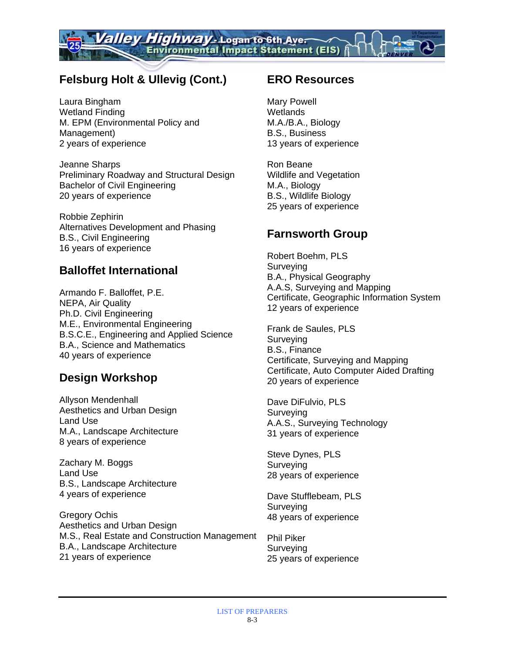# **Felsburg Holt & Ullevig (Cont.)**

Laura Bingham Wetland Finding M. EPM (Environmental Policy and Management) 2 years of experience

Jeanne Sharps Preliminary Roadway and Structural Design Bachelor of Civil Engineering 20 years of experience

Robbie Zephirin Alternatives Development and Phasing B.S., Civil Engineering 16 years of experience

#### **Balloffet International**

Armando F. Balloffet, P.E. NEPA, Air Quality Ph.D. Civil Engineering M.E., Environmental Engineering B.S.C.E., Engineering and Applied Science B.A., Science and Mathematics 40 years of experience

## **Design Workshop**

Allyson Mendenhall Aesthetics and Urban Design Land Use M.A., Landscape Architecture 8 years of experience

Zachary M. Boggs Land Use B.S., Landscape Architecture 4 years of experience

Gregory Ochis Aesthetics and Urban Design M.S., Real Estate and Construction Management B.A., Landscape Architecture 21 years of experience

#### **ERO Resources**

Mary Powell **Wetlands** M.A./B.A., Biology B.S., Business 13 years of experience

Ron Beane Wildlife and Vegetation M.A., Biology B.S., Wildlife Biology 25 years of experience

#### **Farnsworth Group**

Robert Boehm, PLS **Surveving** B.A., Physical Geography A.A.S, Surveying and Mapping Certificate, Geographic Information System 12 years of experience

Frank de Saules, PLS Surveying B.S., Finance Certificate, Surveying and Mapping Certificate, Auto Computer Aided Drafting 20 years of experience

Dave DiFulvio, PLS Surveying A.A.S., Surveying Technology 31 years of experience

Steve Dynes, PLS Surveying 28 years of experience

Dave Stufflebeam, PLS Surveying 48 years of experience

Phil Piker Surveying 25 years of experience